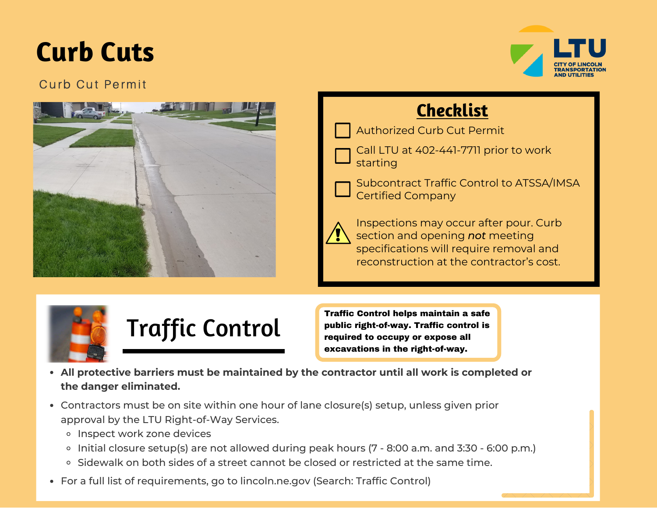# **Curb Cuts**



# Curb Cut Permit



# **Checklist**

Authorized Curb Cut Permit

Call LTU at 402-441-7711 prior to work starting

Subcontract Traffic Control to ATSSA/IMSA Certified Company

|--|

Inspections may occur after pour. Curb section and opening *not* meeting specifications will require removal and reconstruction at the contractor's cost.



Traffic Control helps maintain a safe public right-of-way. Traffic control is required to occupy or expose all excavations in the right-of-way.

- **All protective barriers must be maintained by the contractor until all work is completed or the danger eliminated.**
- Contractors must be on site within one hour of lane closure(s) setup, unless given prior approval by the LTU Right-of-Way Services.
	- o Inspect work zone devices
	- o Initial closure setup(s) are not allowed during peak hours (7 8:00 a.m. and 3:30 6:00 p.m.)
	- Sidewalk on both sides of a street cannot be closed or restricted at the same time.
- For a full list of requirements, go to lincoln.ne.gov (Search: Traffic Control)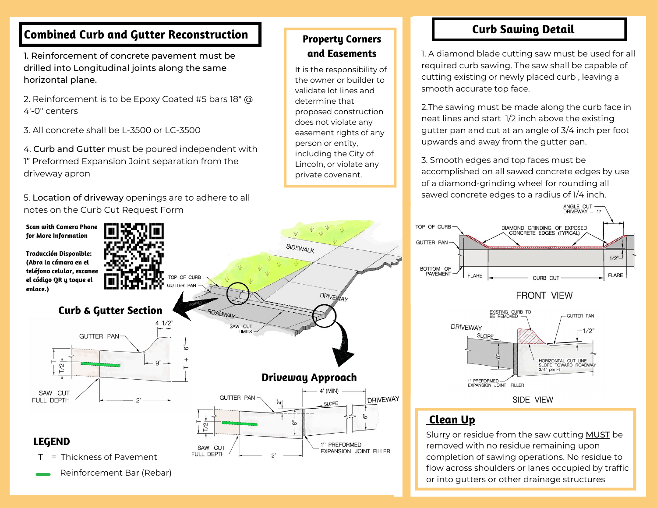#### **Combined Curb and Gutter Reconstruction**

1. Reinforcement of concrete pavement must be drilled into Longitudinal joints along the same horizontal plane.

2. Reinforcement is to be Epoxy Coated #5 bars 18" @ 4'-0" centers

3. All concrete shall be L-3500 or LC-3500

4. Curb and Gutter must be poured independent with 1" Preformed Expansion Joint separation from the driveway apron

5. Location of driveway openings are to adhere to all notes on the Curb Cut Request Form

**for More Information**

**Traducción Disponible: (Abra la cámara en el el código QR y toque el enlace.)** 



#### **Property Corners and Easements**

It is the responsibility of the owner or builder to validate lot lines and determine that proposed construction does not violate any easement rights of any person or entity, including the City of Lincoln, or violate any private covenant.

## **Curb Sawing Detail**

1. A diamond blade cutting saw must be used for all required curb sawing. The saw shall be capable of cutting existing or newly placed curb , leaving a smooth accurate top face.

2.The sawing must be made along the curb face in neat lines and start 1/2 inch above the existing gutter pan and cut at an angle of 3/4 inch per foot upwards and away from the gutter pan.

3. Smooth edges and top faces must be accomplished on all sawed concrete edges by use of a diamond-grinding wheel for rounding all sawed concrete edges to a radius of 1/4 inch.







#### **Clean Up**

Slurry or residue from the saw cutting MUST be removed with no residue remaining upon completion of sawing operations. No residue to flow across shoulders or lanes occupied by traffic or into gutters or other drainage structures